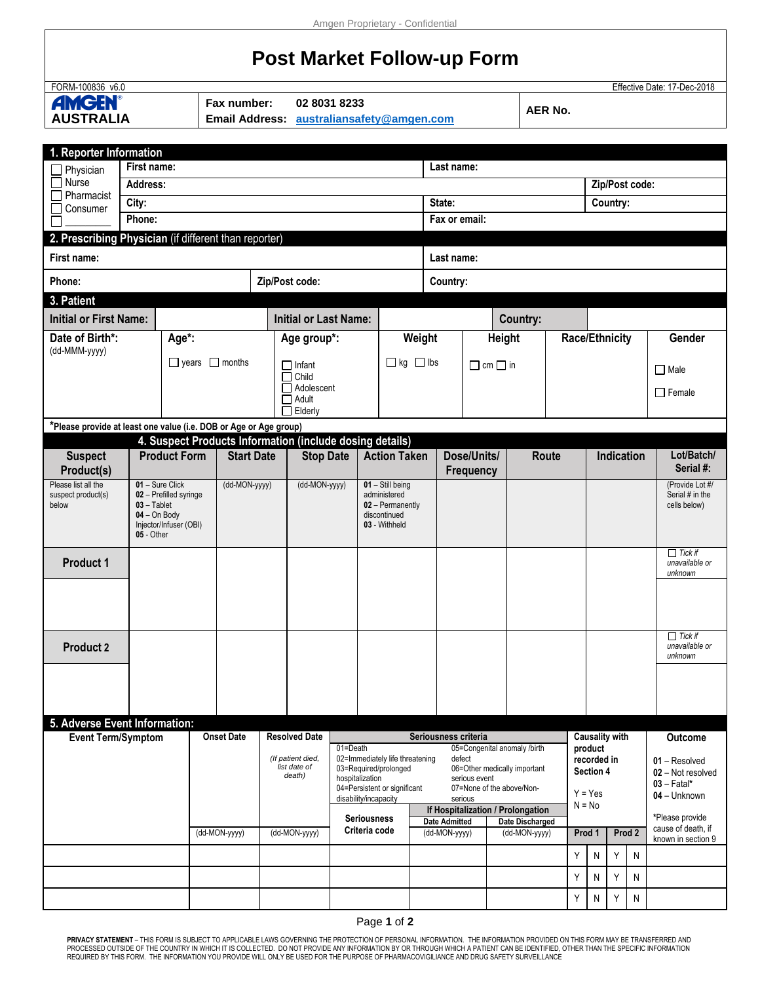## **Post Market Follow-up Form**

| FORM-100836 v6.0<br>Effective Date: 17-Dec-2018<br><b>AMGEN®</b><br>Fax number:<br>02 8031 8233<br><b>AER No.</b><br><b>AUSTRALIA</b><br><b>Email Address:</b><br>australiansafety@amgen.com<br>1. Reporter Information<br>First name:<br>Last name:<br>Physician<br>$\Box$ Nurse<br>Zip/Post code:<br>Address:<br>Pharmacist<br>City:<br>State:<br>Country:<br>Consumer<br>Fax or email:<br>Phone:<br>2. Prescribing Physician (if different than reporter)<br>First name:<br>Last name:<br>Zip/Post code:<br>Phone:<br>Country:<br>3. Patient<br><b>Initial or First Name:</b><br><b>Initial or Last Name:</b><br>Country:<br>Date of Birth*:<br>Age*:<br>Weight<br>Race/Ethnicity<br><b>Height</b><br>Age group*:<br>(dd-MMM-yyyy)<br>$\Box$ kg $\Box$ lbs<br>$\Box$ years $\Box$ months<br>$\Box$ Infant<br>$\Box$ cm $\Box$ in<br>$\Box$ Male<br>$\Box$ Child<br>$\Box$ Adolescent<br>$\Box$ Female<br>$\Box$ Adult<br>$\Box$ Elderly<br>*Please provide at least one value (i.e. DOB or Age or Age group)<br>4. Suspect Products Information (include dosing details)<br><b>Product Form</b><br><b>Action Taken</b><br>Dose/Units/<br>Route<br><b>Indication</b><br><b>Start Date</b><br><b>Stop Date</b><br><b>Suspect</b><br>Product(s)<br>Frequency<br>Please list all the<br>01 - Sure Click<br>$01 -$ Still being<br>(dd-MON-yyyy)<br>(dd-MON-yyyy)<br>suspect product(s)<br>02 - Prefilled syringe<br>administered<br>$03 - Table$<br>02 - Permanently<br>below<br>cells below)<br>$04 - On Body$<br>discontinued<br>Injector/Infuser (OBI)<br>03 - Withheld<br>05 - Other<br><b>Product 1</b><br>unknown<br><b>Product 2</b><br>unknown<br>5. Adverse Event Information:<br><b>Event Term/Symptom</b><br><b>Onset Date</b><br><b>Resolved Date</b><br>Seriousness criteria<br><b>Causality with</b><br>05=Congenital anomaly /birth<br>01=Death<br>product<br>02=Immediately life threatening<br>defect<br>(If patient died,<br>recorded in<br>list date of<br>03=Required/prolonged<br>06=Other medically important<br>Section 4<br>death)<br>hospitalization<br>serious event<br>$03 - \text{Fatal*}$<br>04=Persistent or significant<br>07=None of the above/Non-<br>$Y = Yes$<br>04 - Unknown<br>disability/incapacity<br>serious<br>$N = No$<br>If Hospitalization / Prolongation<br><b>Seriousness</b><br><b>Date Admitted</b><br>Date Discharged<br>Criteria code<br>(dd-MON-yyyy)<br>(dd-MON-yyyy)<br>(dd-MON-yyyy)<br>(dd-MON-yyyy)<br>Prod 2<br>Prod 1<br>Y<br>Y<br>N<br>N |  |  |  |  |  |  |  |  |  |  |  |  |  |  |  |   |   |                         |                                    |                                                             |  |
|---------------------------------------------------------------------------------------------------------------------------------------------------------------------------------------------------------------------------------------------------------------------------------------------------------------------------------------------------------------------------------------------------------------------------------------------------------------------------------------------------------------------------------------------------------------------------------------------------------------------------------------------------------------------------------------------------------------------------------------------------------------------------------------------------------------------------------------------------------------------------------------------------------------------------------------------------------------------------------------------------------------------------------------------------------------------------------------------------------------------------------------------------------------------------------------------------------------------------------------------------------------------------------------------------------------------------------------------------------------------------------------------------------------------------------------------------------------------------------------------------------------------------------------------------------------------------------------------------------------------------------------------------------------------------------------------------------------------------------------------------------------------------------------------------------------------------------------------------------------------------------------------------------------------------------------------------------------------------------------------------------------------------------------------------------------------------------------------------------------------------------------------------------------------------------------------------------------------------------------------------------------------------------------------------------------------------------------------------------------------------------------------------------------------------------------------------------------------------------------------------|--|--|--|--|--|--|--|--|--|--|--|--|--|--|--|---|---|-------------------------|------------------------------------|-------------------------------------------------------------|--|
|                                                                                                                                                                                                                                                                                                                                                                                                                                                                                                                                                                                                                                                                                                                                                                                                                                                                                                                                                                                                                                                                                                                                                                                                                                                                                                                                                                                                                                                                                                                                                                                                                                                                                                                                                                                                                                                                                                                                                                                                                                                                                                                                                                                                                                                                                                                                                                                                                                                                                                   |  |  |  |  |  |  |  |  |  |  |  |  |  |  |  |   |   |                         |                                    |                                                             |  |
|                                                                                                                                                                                                                                                                                                                                                                                                                                                                                                                                                                                                                                                                                                                                                                                                                                                                                                                                                                                                                                                                                                                                                                                                                                                                                                                                                                                                                                                                                                                                                                                                                                                                                                                                                                                                                                                                                                                                                                                                                                                                                                                                                                                                                                                                                                                                                                                                                                                                                                   |  |  |  |  |  |  |  |  |  |  |  |  |  |  |  |   |   |                         |                                    |                                                             |  |
|                                                                                                                                                                                                                                                                                                                                                                                                                                                                                                                                                                                                                                                                                                                                                                                                                                                                                                                                                                                                                                                                                                                                                                                                                                                                                                                                                                                                                                                                                                                                                                                                                                                                                                                                                                                                                                                                                                                                                                                                                                                                                                                                                                                                                                                                                                                                                                                                                                                                                                   |  |  |  |  |  |  |  |  |  |  |  |  |  |  |  |   |   |                         |                                    |                                                             |  |
|                                                                                                                                                                                                                                                                                                                                                                                                                                                                                                                                                                                                                                                                                                                                                                                                                                                                                                                                                                                                                                                                                                                                                                                                                                                                                                                                                                                                                                                                                                                                                                                                                                                                                                                                                                                                                                                                                                                                                                                                                                                                                                                                                                                                                                                                                                                                                                                                                                                                                                   |  |  |  |  |  |  |  |  |  |  |  |  |  |  |  |   |   |                         |                                    |                                                             |  |
|                                                                                                                                                                                                                                                                                                                                                                                                                                                                                                                                                                                                                                                                                                                                                                                                                                                                                                                                                                                                                                                                                                                                                                                                                                                                                                                                                                                                                                                                                                                                                                                                                                                                                                                                                                                                                                                                                                                                                                                                                                                                                                                                                                                                                                                                                                                                                                                                                                                                                                   |  |  |  |  |  |  |  |  |  |  |  |  |  |  |  |   |   |                         |                                    |                                                             |  |
|                                                                                                                                                                                                                                                                                                                                                                                                                                                                                                                                                                                                                                                                                                                                                                                                                                                                                                                                                                                                                                                                                                                                                                                                                                                                                                                                                                                                                                                                                                                                                                                                                                                                                                                                                                                                                                                                                                                                                                                                                                                                                                                                                                                                                                                                                                                                                                                                                                                                                                   |  |  |  |  |  |  |  |  |  |  |  |  |  |  |  |   |   |                         |                                    |                                                             |  |
|                                                                                                                                                                                                                                                                                                                                                                                                                                                                                                                                                                                                                                                                                                                                                                                                                                                                                                                                                                                                                                                                                                                                                                                                                                                                                                                                                                                                                                                                                                                                                                                                                                                                                                                                                                                                                                                                                                                                                                                                                                                                                                                                                                                                                                                                                                                                                                                                                                                                                                   |  |  |  |  |  |  |  |  |  |  |  |  |  |  |  |   |   |                         |                                    |                                                             |  |
|                                                                                                                                                                                                                                                                                                                                                                                                                                                                                                                                                                                                                                                                                                                                                                                                                                                                                                                                                                                                                                                                                                                                                                                                                                                                                                                                                                                                                                                                                                                                                                                                                                                                                                                                                                                                                                                                                                                                                                                                                                                                                                                                                                                                                                                                                                                                                                                                                                                                                                   |  |  |  |  |  |  |  |  |  |  |  |  |  |  |  |   |   |                         |                                    |                                                             |  |
|                                                                                                                                                                                                                                                                                                                                                                                                                                                                                                                                                                                                                                                                                                                                                                                                                                                                                                                                                                                                                                                                                                                                                                                                                                                                                                                                                                                                                                                                                                                                                                                                                                                                                                                                                                                                                                                                                                                                                                                                                                                                                                                                                                                                                                                                                                                                                                                                                                                                                                   |  |  |  |  |  |  |  |  |  |  |  |  |  |  |  |   |   |                         |                                    |                                                             |  |
|                                                                                                                                                                                                                                                                                                                                                                                                                                                                                                                                                                                                                                                                                                                                                                                                                                                                                                                                                                                                                                                                                                                                                                                                                                                                                                                                                                                                                                                                                                                                                                                                                                                                                                                                                                                                                                                                                                                                                                                                                                                                                                                                                                                                                                                                                                                                                                                                                                                                                                   |  |  |  |  |  |  |  |  |  |  |  |  |  |  |  |   |   |                         |                                    |                                                             |  |
|                                                                                                                                                                                                                                                                                                                                                                                                                                                                                                                                                                                                                                                                                                                                                                                                                                                                                                                                                                                                                                                                                                                                                                                                                                                                                                                                                                                                                                                                                                                                                                                                                                                                                                                                                                                                                                                                                                                                                                                                                                                                                                                                                                                                                                                                                                                                                                                                                                                                                                   |  |  |  |  |  |  |  |  |  |  |  |  |  |  |  |   |   |                         |                                    |                                                             |  |
|                                                                                                                                                                                                                                                                                                                                                                                                                                                                                                                                                                                                                                                                                                                                                                                                                                                                                                                                                                                                                                                                                                                                                                                                                                                                                                                                                                                                                                                                                                                                                                                                                                                                                                                                                                                                                                                                                                                                                                                                                                                                                                                                                                                                                                                                                                                                                                                                                                                                                                   |  |  |  |  |  |  |  |  |  |  |  |  |  |  |  |   |   |                         |                                    |                                                             |  |
|                                                                                                                                                                                                                                                                                                                                                                                                                                                                                                                                                                                                                                                                                                                                                                                                                                                                                                                                                                                                                                                                                                                                                                                                                                                                                                                                                                                                                                                                                                                                                                                                                                                                                                                                                                                                                                                                                                                                                                                                                                                                                                                                                                                                                                                                                                                                                                                                                                                                                                   |  |  |  |  |  |  |  |  |  |  |  |  |  |  |  |   |   |                         |                                    | Gender                                                      |  |
|                                                                                                                                                                                                                                                                                                                                                                                                                                                                                                                                                                                                                                                                                                                                                                                                                                                                                                                                                                                                                                                                                                                                                                                                                                                                                                                                                                                                                                                                                                                                                                                                                                                                                                                                                                                                                                                                                                                                                                                                                                                                                                                                                                                                                                                                                                                                                                                                                                                                                                   |  |  |  |  |  |  |  |  |  |  |  |  |  |  |  |   |   |                         |                                    |                                                             |  |
|                                                                                                                                                                                                                                                                                                                                                                                                                                                                                                                                                                                                                                                                                                                                                                                                                                                                                                                                                                                                                                                                                                                                                                                                                                                                                                                                                                                                                                                                                                                                                                                                                                                                                                                                                                                                                                                                                                                                                                                                                                                                                                                                                                                                                                                                                                                                                                                                                                                                                                   |  |  |  |  |  |  |  |  |  |  |  |  |  |  |  |   |   |                         |                                    |                                                             |  |
|                                                                                                                                                                                                                                                                                                                                                                                                                                                                                                                                                                                                                                                                                                                                                                                                                                                                                                                                                                                                                                                                                                                                                                                                                                                                                                                                                                                                                                                                                                                                                                                                                                                                                                                                                                                                                                                                                                                                                                                                                                                                                                                                                                                                                                                                                                                                                                                                                                                                                                   |  |  |  |  |  |  |  |  |  |  |  |  |  |  |  |   |   |                         |                                    |                                                             |  |
|                                                                                                                                                                                                                                                                                                                                                                                                                                                                                                                                                                                                                                                                                                                                                                                                                                                                                                                                                                                                                                                                                                                                                                                                                                                                                                                                                                                                                                                                                                                                                                                                                                                                                                                                                                                                                                                                                                                                                                                                                                                                                                                                                                                                                                                                                                                                                                                                                                                                                                   |  |  |  |  |  |  |  |  |  |  |  |  |  |  |  |   |   |                         |                                    |                                                             |  |
|                                                                                                                                                                                                                                                                                                                                                                                                                                                                                                                                                                                                                                                                                                                                                                                                                                                                                                                                                                                                                                                                                                                                                                                                                                                                                                                                                                                                                                                                                                                                                                                                                                                                                                                                                                                                                                                                                                                                                                                                                                                                                                                                                                                                                                                                                                                                                                                                                                                                                                   |  |  |  |  |  |  |  |  |  |  |  |  |  |  |  |   |   |                         |                                    |                                                             |  |
|                                                                                                                                                                                                                                                                                                                                                                                                                                                                                                                                                                                                                                                                                                                                                                                                                                                                                                                                                                                                                                                                                                                                                                                                                                                                                                                                                                                                                                                                                                                                                                                                                                                                                                                                                                                                                                                                                                                                                                                                                                                                                                                                                                                                                                                                                                                                                                                                                                                                                                   |  |  |  |  |  |  |  |  |  |  |  |  |  |  |  |   |   | Lot/Batch/<br>Serial #: |                                    |                                                             |  |
|                                                                                                                                                                                                                                                                                                                                                                                                                                                                                                                                                                                                                                                                                                                                                                                                                                                                                                                                                                                                                                                                                                                                                                                                                                                                                                                                                                                                                                                                                                                                                                                                                                                                                                                                                                                                                                                                                                                                                                                                                                                                                                                                                                                                                                                                                                                                                                                                                                                                                                   |  |  |  |  |  |  |  |  |  |  |  |  |  |  |  |   |   |                         | (Provide Lot #/<br>Serial # in the |                                                             |  |
|                                                                                                                                                                                                                                                                                                                                                                                                                                                                                                                                                                                                                                                                                                                                                                                                                                                                                                                                                                                                                                                                                                                                                                                                                                                                                                                                                                                                                                                                                                                                                                                                                                                                                                                                                                                                                                                                                                                                                                                                                                                                                                                                                                                                                                                                                                                                                                                                                                                                                                   |  |  |  |  |  |  |  |  |  |  |  |  |  |  |  |   |   |                         |                                    |                                                             |  |
|                                                                                                                                                                                                                                                                                                                                                                                                                                                                                                                                                                                                                                                                                                                                                                                                                                                                                                                                                                                                                                                                                                                                                                                                                                                                                                                                                                                                                                                                                                                                                                                                                                                                                                                                                                                                                                                                                                                                                                                                                                                                                                                                                                                                                                                                                                                                                                                                                                                                                                   |  |  |  |  |  |  |  |  |  |  |  |  |  |  |  |   |   |                         |                                    | $\prod$ Tick if<br>unavailable or                           |  |
|                                                                                                                                                                                                                                                                                                                                                                                                                                                                                                                                                                                                                                                                                                                                                                                                                                                                                                                                                                                                                                                                                                                                                                                                                                                                                                                                                                                                                                                                                                                                                                                                                                                                                                                                                                                                                                                                                                                                                                                                                                                                                                                                                                                                                                                                                                                                                                                                                                                                                                   |  |  |  |  |  |  |  |  |  |  |  |  |  |  |  |   |   |                         |                                    |                                                             |  |
|                                                                                                                                                                                                                                                                                                                                                                                                                                                                                                                                                                                                                                                                                                                                                                                                                                                                                                                                                                                                                                                                                                                                                                                                                                                                                                                                                                                                                                                                                                                                                                                                                                                                                                                                                                                                                                                                                                                                                                                                                                                                                                                                                                                                                                                                                                                                                                                                                                                                                                   |  |  |  |  |  |  |  |  |  |  |  |  |  |  |  |   |   |                         |                                    | $\Box$ Tick if<br>unavailable or                            |  |
|                                                                                                                                                                                                                                                                                                                                                                                                                                                                                                                                                                                                                                                                                                                                                                                                                                                                                                                                                                                                                                                                                                                                                                                                                                                                                                                                                                                                                                                                                                                                                                                                                                                                                                                                                                                                                                                                                                                                                                                                                                                                                                                                                                                                                                                                                                                                                                                                                                                                                                   |  |  |  |  |  |  |  |  |  |  |  |  |  |  |  |   |   |                         |                                    |                                                             |  |
|                                                                                                                                                                                                                                                                                                                                                                                                                                                                                                                                                                                                                                                                                                                                                                                                                                                                                                                                                                                                                                                                                                                                                                                                                                                                                                                                                                                                                                                                                                                                                                                                                                                                                                                                                                                                                                                                                                                                                                                                                                                                                                                                                                                                                                                                                                                                                                                                                                                                                                   |  |  |  |  |  |  |  |  |  |  |  |  |  |  |  |   |   |                         |                                    |                                                             |  |
|                                                                                                                                                                                                                                                                                                                                                                                                                                                                                                                                                                                                                                                                                                                                                                                                                                                                                                                                                                                                                                                                                                                                                                                                                                                                                                                                                                                                                                                                                                                                                                                                                                                                                                                                                                                                                                                                                                                                                                                                                                                                                                                                                                                                                                                                                                                                                                                                                                                                                                   |  |  |  |  |  |  |  |  |  |  |  |  |  |  |  |   |   |                         |                                    | Outcome                                                     |  |
|                                                                                                                                                                                                                                                                                                                                                                                                                                                                                                                                                                                                                                                                                                                                                                                                                                                                                                                                                                                                                                                                                                                                                                                                                                                                                                                                                                                                                                                                                                                                                                                                                                                                                                                                                                                                                                                                                                                                                                                                                                                                                                                                                                                                                                                                                                                                                                                                                                                                                                   |  |  |  |  |  |  |  |  |  |  |  |  |  |  |  |   |   |                         |                                    | 01 - Resolved<br>02 - Not resolved                          |  |
|                                                                                                                                                                                                                                                                                                                                                                                                                                                                                                                                                                                                                                                                                                                                                                                                                                                                                                                                                                                                                                                                                                                                                                                                                                                                                                                                                                                                                                                                                                                                                                                                                                                                                                                                                                                                                                                                                                                                                                                                                                                                                                                                                                                                                                                                                                                                                                                                                                                                                                   |  |  |  |  |  |  |  |  |  |  |  |  |  |  |  |   |   |                         |                                    |                                                             |  |
|                                                                                                                                                                                                                                                                                                                                                                                                                                                                                                                                                                                                                                                                                                                                                                                                                                                                                                                                                                                                                                                                                                                                                                                                                                                                                                                                                                                                                                                                                                                                                                                                                                                                                                                                                                                                                                                                                                                                                                                                                                                                                                                                                                                                                                                                                                                                                                                                                                                                                                   |  |  |  |  |  |  |  |  |  |  |  |  |  |  |  |   |   |                         |                                    | *Please provide<br>cause of death, if<br>known in section 9 |  |
|                                                                                                                                                                                                                                                                                                                                                                                                                                                                                                                                                                                                                                                                                                                                                                                                                                                                                                                                                                                                                                                                                                                                                                                                                                                                                                                                                                                                                                                                                                                                                                                                                                                                                                                                                                                                                                                                                                                                                                                                                                                                                                                                                                                                                                                                                                                                                                                                                                                                                                   |  |  |  |  |  |  |  |  |  |  |  |  |  |  |  |   |   |                         |                                    |                                                             |  |
|                                                                                                                                                                                                                                                                                                                                                                                                                                                                                                                                                                                                                                                                                                                                                                                                                                                                                                                                                                                                                                                                                                                                                                                                                                                                                                                                                                                                                                                                                                                                                                                                                                                                                                                                                                                                                                                                                                                                                                                                                                                                                                                                                                                                                                                                                                                                                                                                                                                                                                   |  |  |  |  |  |  |  |  |  |  |  |  |  |  |  | Y | N | Y                       | N                                  |                                                             |  |
| Υ<br>Y<br>N<br>N                                                                                                                                                                                                                                                                                                                                                                                                                                                                                                                                                                                                                                                                                                                                                                                                                                                                                                                                                                                                                                                                                                                                                                                                                                                                                                                                                                                                                                                                                                                                                                                                                                                                                                                                                                                                                                                                                                                                                                                                                                                                                                                                                                                                                                                                                                                                                                                                                                                                                  |  |  |  |  |  |  |  |  |  |  |  |  |  |  |  |   |   |                         |                                    |                                                             |  |

**PRIVACY STATEMENT** – THIS FORM IS SUBJECT TO APPLICABLE LAWS GOVERNING THE PROTECTION OF PERSONAL INFORMATION. THE INFORMATION PROVIDED ON THIS FORM MAY BE TRANSFERRED AND<br>PROCESSED OUTSIDE OF THE COUNTRY IN WHICH IT IS C